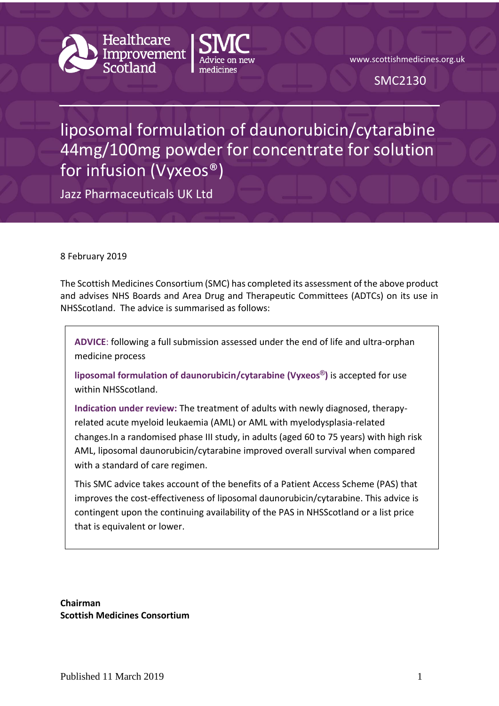

www.scottishmedicines.org.uk

SMC2130

# liposomal formulation of daunorubicin/cytarabine 44mg/100mg powder for concentrate for solution for infusion (Vyxeos®)

Jazz Pharmaceuticals UK Ltd

8 February 2019

The Scottish Medicines Consortium (SMC) has completed its assessment of the above product and advises NHS Boards and Area Drug and Therapeutic Committees (ADTCs) on its use in NHSScotland. The advice is summarised as follows:

**ADVICE**: following a full submission assessed under the end of life and ultra-orphan medicine process

**liposomal formulation of daunorubicin/cytarabine (Vyxeos®)** is accepted for use within NHSScotland.

**Indication under review:** The treatment of adults with newly diagnosed, therapyrelated acute myeloid leukaemia (AML) or AML with myelodysplasia-related changes.In a randomised phase III study, in adults (aged 60 to 75 years) with high risk AML, liposomal daunorubicin/cytarabine improved overall survival when compared with a standard of care regimen.

This SMC advice takes account of the benefits of a Patient Access Scheme (PAS) that improves the cost-effectiveness of liposomal daunorubicin/cytarabine. This advice is contingent upon the continuing availability of the PAS in NHSScotland or a list price that is equivalent or lower.

**Chairman Scottish Medicines Consortium**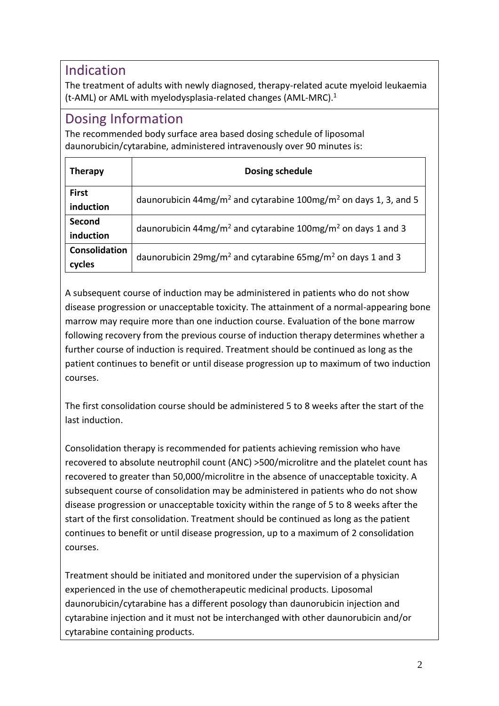#### Indication

The treatment of adults with newly diagnosed, therapy-related acute myeloid leukaemia (t-AML) or AML with myelodysplasia-related changes (AML-MRC).<sup>1</sup>

### Dosing Information

The recommended body surface area based dosing schedule of liposomal daunorubicin/cytarabine, administered intravenously over 90 minutes is:

| <b>Therapy</b> | Dosing schedule                                                                          |  |
|----------------|------------------------------------------------------------------------------------------|--|
| <b>First</b>   | daunorubicin 44mg/m <sup>2</sup> and cytarabine 100mg/m <sup>2</sup> on days 1, 3, and 5 |  |
| induction      |                                                                                          |  |
| Second         | daunorubicin 44mg/m <sup>2</sup> and cytarabine 100mg/m <sup>2</sup> on days 1 and 3     |  |
| induction      |                                                                                          |  |
| Consolidation  | daunorubicin 29mg/m <sup>2</sup> and cytarabine 65mg/m <sup>2</sup> on days 1 and 3      |  |
| cycles         |                                                                                          |  |

A subsequent course of induction may be administered in patients who do not show disease progression or unacceptable toxicity. The attainment of a normal-appearing bone marrow may require more than one induction course. Evaluation of the bone marrow following recovery from the previous course of induction therapy determines whether a further course of induction is required. Treatment should be continued as long as the patient continues to benefit or until disease progression up to maximum of two induction courses.

The first consolidation course should be administered 5 to 8 weeks after the start of the last induction.

Consolidation therapy is recommended for patients achieving remission who have recovered to absolute neutrophil count (ANC) >500/microlitre and the platelet count has recovered to greater than 50,000/microlitre in the absence of unacceptable toxicity. A subsequent course of consolidation may be administered in patients who do not show disease progression or unacceptable toxicity within the range of 5 to 8 weeks after the start of the first consolidation. Treatment should be continued as long as the patient continues to benefit or until disease progression, up to a maximum of 2 consolidation courses.

Treatment should be initiated and monitored under the supervision of a physician experienced in the use of chemotherapeutic medicinal products. Liposomal daunorubicin/cytarabine has a different posology than daunorubicin injection and cytarabine injection and it must not be interchanged with other daunorubicin and/or cytarabine containing products.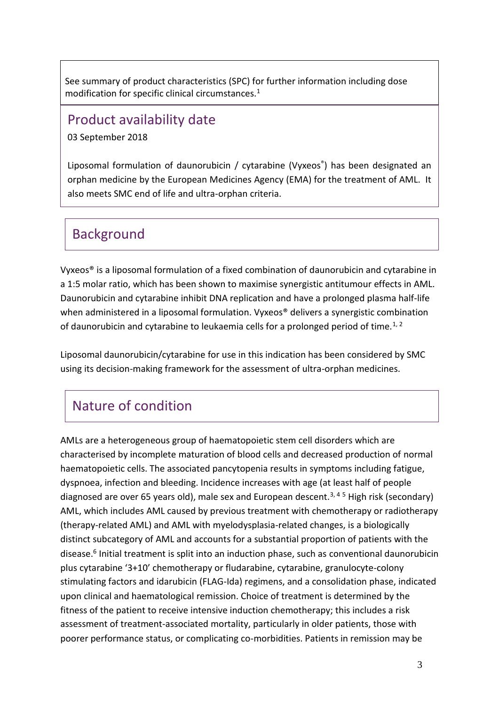See summary of product characteristics (SPC) for further information including dose modification for specific clinical circumstances.<sup>1</sup>

#### Product availability date

03 September 2018

Liposomal formulation of daunorubicin / cytarabine (Vyxeos® ) has been designated an orphan medicine by the European Medicines Agency (EMA) for the treatment of AML. It also meets SMC end of life and ultra-orphan criteria.

### Background

Vyxeos® is a liposomal formulation of a fixed combination of daunorubicin and cytarabine in a 1:5 molar ratio, which has been shown to maximise synergistic antitumour effects in AML. Daunorubicin and cytarabine inhibit DNA replication and have a prolonged plasma half-life when administered in a liposomal formulation. Vyxeos<sup>®</sup> delivers a synergistic combination of daunorubicin and cytarabine to leukaemia cells for a prolonged period of time.<sup>1, 2</sup>

Liposomal daunorubicin/cytarabine for use in this indication has been considered by SMC using its decision-making framework for the assessment of ultra-orphan medicines.

# Nature of condition

AMLs are a heterogeneous group of haematopoietic stem cell disorders which are characterised by incomplete maturation of blood cells and decreased production of normal haematopoietic cells. The associated pancytopenia results in symptoms including fatigue, dyspnoea, infection and bleeding. Incidence increases with age (at least half of people diagnosed are over 65 years old), male sex and European descent.<sup>3, 45</sup> High risk (secondary) AML, which includes AML caused by previous treatment with chemotherapy or radiotherapy (therapy-related AML) and AML with myelodysplasia-related changes, is a biologically distinct subcategory of AML and accounts for a substantial proportion of patients with the disease.<sup>6</sup> Initial treatment is split into an induction phase, such as conventional daunorubicin plus cytarabine '3+10' chemotherapy or fludarabine, cytarabine, granulocyte-colony stimulating factors and idarubicin (FLAG-Ida) regimens, and a consolidation phase, indicated upon clinical and haematological remission. Choice of treatment is determined by the fitness of the patient to receive intensive induction chemotherapy; this includes a risk assessment of treatment-associated mortality, particularly in older patients, those with poorer performance status, or complicating co-morbidities. Patients in remission may be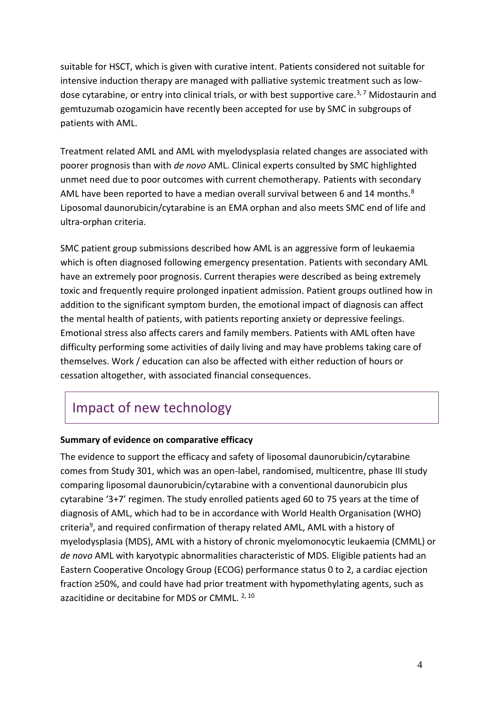suitable for HSCT, which is given with curative intent. Patients considered not suitable for intensive induction therapy are managed with palliative systemic treatment such as lowdose cytarabine, or entry into clinical trials, or with best supportive care.<sup>3,7</sup> Midostaurin and gemtuzumab ozogamicin have recently been accepted for use by SMC in subgroups of patients with AML.

Treatment related AML and AML with myelodysplasia related changes are associated with poorer prognosis than with *de novo* AML. Clinical experts consulted by SMC highlighted unmet need due to poor outcomes with current chemotherapy. Patients with secondary AML have been reported to have a median overall survival between 6 and 14 months.<sup>8</sup> Liposomal daunorubicin/cytarabine is an EMA orphan and also meets SMC end of life and ultra-orphan criteria.

SMC patient group submissions described how AML is an aggressive form of leukaemia which is often diagnosed following emergency presentation. Patients with secondary AML have an extremely poor prognosis. Current therapies were described as being extremely toxic and frequently require prolonged inpatient admission. Patient groups outlined how in addition to the significant symptom burden, the emotional impact of diagnosis can affect the mental health of patients, with patients reporting anxiety or depressive feelings. Emotional stress also affects carers and family members. Patients with AML often have difficulty performing some activities of daily living and may have problems taking care of themselves. Work / education can also be affected with either reduction of hours or cessation altogether, with associated financial consequences.

# Impact of new technology

#### **Summary of evidence on comparative efficacy**

The evidence to support the efficacy and safety of liposomal daunorubicin/cytarabine comes from Study 301, which was an open-label, randomised, multicentre, phase III study comparing liposomal daunorubicin/cytarabine with a conventional daunorubicin plus cytarabine '3+7' regimen. The study enrolled patients aged 60 to 75 years at the time of diagnosis of AML, which had to be in accordance with World Health Organisation (WHO) criteria<sup>9</sup>, and required confirmation of therapy related AML, AML with a history of myelodysplasia (MDS), AML with a history of chronic myelomonocytic leukaemia (CMML) or *de novo* AML with karyotypic abnormalities characteristic of MDS. Eligible patients had an Eastern Cooperative Oncology Group (ECOG) performance status 0 to 2, a cardiac ejection fraction ≥50%, and could have had prior treatment with hypomethylating agents, such as azacitidine or decitabine for MDS or CMML. 2, 10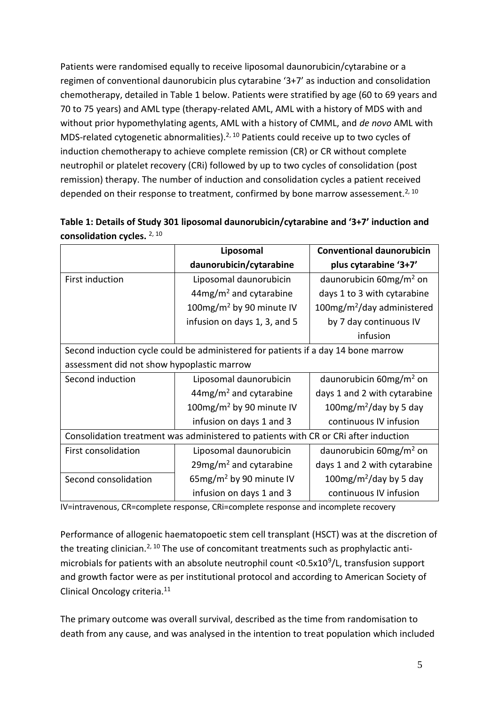Patients were randomised equally to receive liposomal daunorubicin/cytarabine or a regimen of conventional daunorubicin plus cytarabine '3+7' as induction and consolidation chemotherapy, detailed in Table 1 below. Patients were stratified by age (60 to 69 years and 70 to 75 years) and AML type (therapy-related AML, AML with a history of MDS with and without prior hypomethylating agents, AML with a history of CMML, and *de novo* AML with MDS-related cytogenetic abnormalities).<sup>2, 10</sup> Patients could receive up to two cycles of induction chemotherapy to achieve complete remission (CR) or CR without complete neutrophil or platelet recovery (CRi) followed by up to two cycles of consolidation (post remission) therapy. The number of induction and consolidation cycles a patient received depended on their response to treatment, confirmed by bone marrow assessement.<sup>2, 10</sup>

|                                                                                     | Liposomal                             | <b>Conventional daunorubicin</b>    |  |
|-------------------------------------------------------------------------------------|---------------------------------------|-------------------------------------|--|
|                                                                                     | daunorubicin/cytarabine               | plus cytarabine '3+7'               |  |
| First induction                                                                     | Liposomal daunorubicin                | daunorubicin 60mg/m <sup>2</sup> on |  |
|                                                                                     | $44$ mg/m <sup>2</sup> and cytarabine | days 1 to 3 with cytarabine         |  |
|                                                                                     | 100mg/m <sup>2</sup> by 90 minute IV  | $100mg/m2/day$ administered         |  |
|                                                                                     | infusion on days 1, 3, and 5          | by 7 day continuous IV              |  |
|                                                                                     |                                       | infusion                            |  |
| Second induction cycle could be administered for patients if a day 14 bone marrow   |                                       |                                     |  |
| assessment did not show hypoplastic marrow                                          |                                       |                                     |  |
| Second induction                                                                    | Liposomal daunorubicin                | daunorubicin 60mg/m <sup>2</sup> on |  |
|                                                                                     | $44mg/m2$ and cytarabine              | days 1 and 2 with cytarabine        |  |
|                                                                                     | 100mg/m <sup>2</sup> by 90 minute IV  | 100mg/m <sup>2</sup> /day by 5 day  |  |
|                                                                                     | infusion on days 1 and 3              | continuous IV infusion              |  |
| Consolidation treatment was administered to patients with CR or CRi after induction |                                       |                                     |  |
| First consolidation                                                                 | Liposomal daunorubicin                | daunorubicin 60mg/m <sup>2</sup> on |  |
|                                                                                     | 29mg/m <sup>2</sup> and cytarabine    | days 1 and 2 with cytarabine        |  |
| Second consolidation                                                                | 65mg/m <sup>2</sup> by 90 minute IV   | 100mg/m <sup>2</sup> /day by 5 day  |  |
|                                                                                     | infusion on days 1 and 3              | continuous IV infusion              |  |

| Table 1: Details of Study 301 liposomal daunorubicin/cytarabine and '3+7' induction and |  |
|-----------------------------------------------------------------------------------------|--|
| consolidation cycles. $2,10$                                                            |  |

IV=intravenous, CR=complete response, CRi=complete response and incomplete recovery

Performance of allogenic haematopoetic stem cell transplant (HSCT) was at the discretion of the treating clinician.<sup>2, 10</sup> The use of concomitant treatments such as prophylactic antimicrobials for patients with an absolute neutrophil count <0.5x10<sup>9</sup>/L, transfusion support and growth factor were as per institutional protocol and according to American Society of Clinical Oncology criteria.<sup>11</sup>

The primary outcome was overall survival, described as the time from randomisation to death from any cause, and was analysed in the intention to treat population which included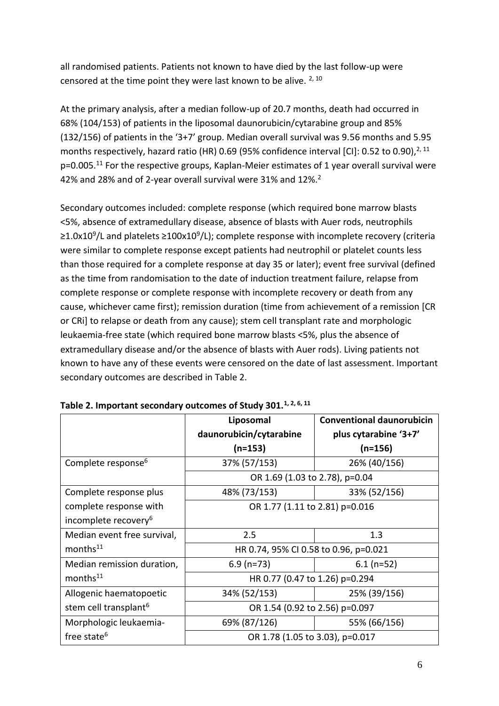all randomised patients. Patients not known to have died by the last follow-up were censored at the time point they were last known to be alive.  $2,10$ 

At the primary analysis, after a median follow-up of 20.7 months, death had occurred in 68% (104/153) of patients in the liposomal daunorubicin/cytarabine group and 85% (132/156) of patients in the '3+7' group. Median overall survival was 9.56 months and 5.95 months respectively, hazard ratio (HR) 0.69 (95% confidence interval [CI]: 0.52 to 0.90),<sup>2, 11</sup>  $p=0.005$ .<sup>11</sup> For the respective groups, Kaplan-Meier estimates of 1 year overall survival were 42% and 28% and of 2-year overall survival were 31% and 12%.<sup>2</sup>

Secondary outcomes included: complete response (which required bone marrow blasts <5%, absence of extramedullary disease, absence of blasts with Auer rods, neutrophils ≥1.0x10<sup>9</sup>/L and platelets ≥100x10<sup>9</sup>/L); complete response with incomplete recovery (criteria were similar to complete response except patients had neutrophil or platelet counts less than those required for a complete response at day 35 or later); event free survival (defined as the time from randomisation to the date of induction treatment failure, relapse from complete response or complete response with incomplete recovery or death from any cause, whichever came first); remission duration (time from achievement of a remission [CR or CRi] to relapse or death from any cause); stem cell transplant rate and morphologic leukaemia-free state (which required bone marrow blasts <5%, plus the absence of extramedullary disease and/or the absence of blasts with Auer rods). Living patients not known to have any of these events were censored on the date of last assessment. Important secondary outcomes are described in Table 2.

|                                   | Liposomal                             | <b>Conventional daunorubicin</b> |  |
|-----------------------------------|---------------------------------------|----------------------------------|--|
|                                   | daunorubicin/cytarabine               | plus cytarabine '3+7'            |  |
|                                   | $(n=153)$                             | $(n=156)$                        |  |
| Complete response <sup>6</sup>    | 37% (57/153)                          | 26% (40/156)                     |  |
|                                   | OR 1.69 (1.03 to 2.78), p=0.04        |                                  |  |
| Complete response plus            | 48% (73/153)                          | 33% (52/156)                     |  |
| complete response with            | OR 1.77 (1.11 to 2.81) p=0.016        |                                  |  |
| incomplete recovery <sup>6</sup>  |                                       |                                  |  |
| Median event free survival,       | 2.5                                   | 1.3                              |  |
| months <sup>11</sup>              | HR 0.74, 95% CI 0.58 to 0.96, p=0.021 |                                  |  |
| Median remission duration,        | $6.9$ (n=73)                          | $6.1$ (n=52)                     |  |
| months <sup>11</sup>              | HR 0.77 (0.47 to 1.26) p=0.294        |                                  |  |
| Allogenic haematopoetic           | 34% (52/153)                          | 25% (39/156)                     |  |
| stem cell transplant <sup>6</sup> | OR 1.54 (0.92 to 2.56) p=0.097        |                                  |  |
| Morphologic leukaemia-            | 69% (87/126)                          | 55% (66/156)                     |  |
| free state <sup>6</sup>           | OR 1.78 (1.05 to 3.03), p=0.017       |                                  |  |

**Table 2. Important secondary outcomes of Study 301.1, 2, 6, 11**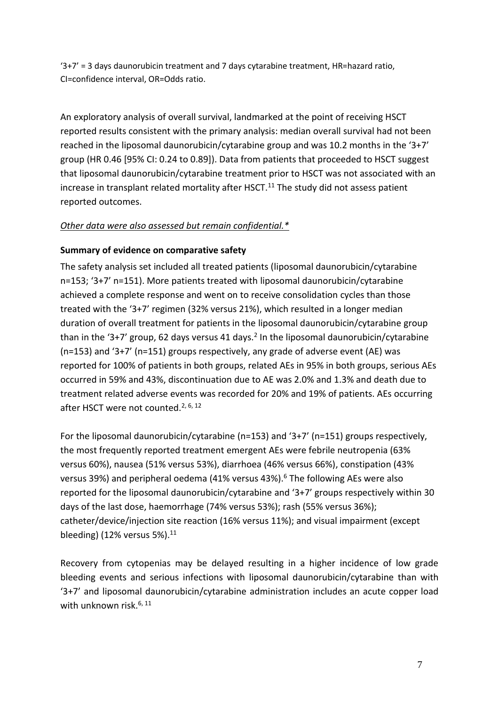'3+7' = 3 days daunorubicin treatment and 7 days cytarabine treatment, HR=hazard ratio, CI=confidence interval, OR=Odds ratio.

An exploratory analysis of overall survival, landmarked at the point of receiving HSCT reported results consistent with the primary analysis: median overall survival had not been reached in the liposomal daunorubicin/cytarabine group and was 10.2 months in the '3+7' group (HR 0.46 [95% CI: 0.24 to 0.89]). Data from patients that proceeded to HSCT suggest that liposomal daunorubicin/cytarabine treatment prior to HSCT was not associated with an increase in transplant related mortality after HSCT.<sup>11</sup> The study did not assess patient reported outcomes.

#### *[Other data were also assessed but remain confidential.\\*](https://www.scottishmedicines.org.uk/media/3572/20180710-release-of-company-data.pdf)*

#### **Summary of evidence on comparative safety**

The safety analysis set included all treated patients (liposomal daunorubicin/cytarabine n=153; '3+7' n=151). More patients treated with liposomal daunorubicin/cytarabine achieved a complete response and went on to receive consolidation cycles than those treated with the '3+7' regimen (32% versus 21%), which resulted in a longer median duration of overall treatment for patients in the liposomal daunorubicin/cytarabine group than in the '3+7' group, 62 days versus 41 days.<sup>2</sup> In the liposomal daunorubicin/cytarabine (n=153) and '3+7' (n=151) groups respectively, any grade of adverse event (AE) was reported for 100% of patients in both groups, related AEs in 95% in both groups, serious AEs occurred in 59% and 43%, discontinuation due to AE was 2.0% and 1.3% and death due to treatment related adverse events was recorded for 20% and 19% of patients. AEs occurring after HSCT were not counted.<sup>2, 6, 12</sup>

For the liposomal daunorubicin/cytarabine (n=153) and '3+7' (n=151) groups respectively, the most frequently reported treatment emergent AEs were febrile neutropenia (63% versus 60%), nausea (51% versus 53%), diarrhoea (46% versus 66%), constipation (43% versus 39%) and peripheral oedema (41% versus 43%).<sup>6</sup> The following AEs were also reported for the liposomal daunorubicin/cytarabine and '3+7' groups respectively within 30 days of the last dose, haemorrhage (74% versus 53%); rash (55% versus 36%); catheter/device/injection site reaction (16% versus 11%); and visual impairment (except bleeding) (12% versus 5%). $11$ 

Recovery from cytopenias may be delayed resulting in a higher incidence of low grade bleeding events and serious infections with liposomal daunorubicin/cytarabine than with '3+7' and liposomal daunorubicin/cytarabine administration includes an acute copper load with unknown risk. $6, 11$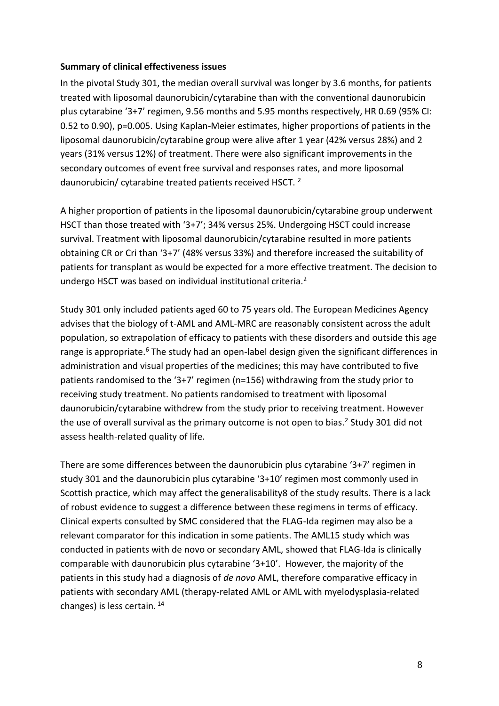#### **Summary of clinical effectiveness issues**

In the pivotal Study 301, the median overall survival was longer by 3.6 months, for patients treated with liposomal daunorubicin/cytarabine than with the conventional daunorubicin plus cytarabine '3+7' regimen, 9.56 months and 5.95 months respectively, HR 0.69 (95% CI: 0.52 to 0.90), p=0.005. Using Kaplan-Meier estimates, higher proportions of patients in the liposomal daunorubicin/cytarabine group were alive after 1 year (42% versus 28%) and 2 years (31% versus 12%) of treatment. There were also significant improvements in the secondary outcomes of event free survival and responses rates, and more liposomal daunorubicin/ cytarabine treated patients received HSCT. <sup>2</sup>

A higher proportion of patients in the liposomal daunorubicin/cytarabine group underwent HSCT than those treated with '3+7'; 34% versus 25%. Undergoing HSCT could increase survival. Treatment with liposomal daunorubicin/cytarabine resulted in more patients obtaining CR or Cri than '3+7' (48% versus 33%) and therefore increased the suitability of patients for transplant as would be expected for a more effective treatment. The decision to undergo HSCT was based on individual institutional criteria.<sup>2</sup>

Study 301 only included patients aged 60 to 75 years old. The European Medicines Agency advises that the biology of t-AML and AML-MRC are reasonably consistent across the adult population, so extrapolation of efficacy to patients with these disorders and outside this age range is appropriate.<sup>6</sup> The study had an open-label design given the significant differences in administration and visual properties of the medicines; this may have contributed to five patients randomised to the '3+7' regimen (n=156) withdrawing from the study prior to receiving study treatment. No patients randomised to treatment with liposomal daunorubicin/cytarabine withdrew from the study prior to receiving treatment. However the use of overall survival as the primary outcome is not open to bias.<sup>2</sup> Study 301 did not assess health-related quality of life.

There are some differences between the daunorubicin plus cytarabine '3+7' regimen in study 301 and the daunorubicin plus cytarabine '3+10' regimen most commonly used in Scottish practice, which may affect the generalisability8 of the study results. There is a lack of robust evidence to suggest a difference between these regimens in terms of efficacy. Clinical experts consulted by SMC considered that the FLAG-Ida regimen may also be a relevant comparator for this indication in some patients. The AML15 study which was conducted in patients with de novo or secondary AML, showed that FLAG-Ida is clinically comparable with daunorubicin plus cytarabine '3+10'. However, the majority of the patients in this study had a diagnosis of *de novo* AML, therefore comparative efficacy in patients with secondary AML (therapy-related AML or AML with myelodysplasia-related changes) is less certain. <sup>14</sup>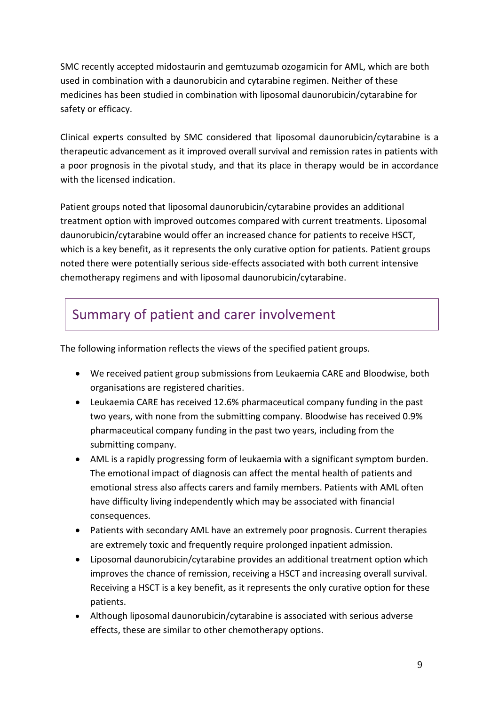SMC recently accepted midostaurin and gemtuzumab ozogamicin for AML, which are both used in combination with a daunorubicin and cytarabine regimen. Neither of these medicines has been studied in combination with liposomal daunorubicin/cytarabine for safety or efficacy.

Clinical experts consulted by SMC considered that liposomal daunorubicin/cytarabine is a therapeutic advancement as it improved overall survival and remission rates in patients with a poor prognosis in the pivotal study, and that its place in therapy would be in accordance with the licensed indication.

Patient groups noted that liposomal daunorubicin/cytarabine provides an additional treatment option with improved outcomes compared with current treatments. Liposomal daunorubicin/cytarabine would offer an increased chance for patients to receive HSCT, which is a key benefit, as it represents the only curative option for patients. Patient groups noted there were potentially serious side-effects associated with both current intensive chemotherapy regimens and with liposomal daunorubicin/cytarabine.

### Summary of patient and carer involvement

The following information reflects the views of the specified patient groups.

- We received patient group submissions from Leukaemia CARE and Bloodwise, both organisations are registered charities.
- Leukaemia CARE has received 12.6% pharmaceutical company funding in the past two years, with none from the submitting company. Bloodwise has received 0.9% pharmaceutical company funding in the past two years, including from the submitting company.
- AML is a rapidly progressing form of leukaemia with a significant symptom burden. The emotional impact of diagnosis can affect the mental health of patients and emotional stress also affects carers and family members. Patients with AML often have difficulty living independently which may be associated with financial consequences.
- Patients with secondary AML have an extremely poor prognosis. Current therapies are extremely toxic and frequently require prolonged inpatient admission.
- Liposomal daunorubicin/cytarabine provides an additional treatment option which improves the chance of remission, receiving a HSCT and increasing overall survival. Receiving a HSCT is a key benefit, as it represents the only curative option for these patients.
- Although liposomal daunorubicin/cytarabine is associated with serious adverse effects, these are similar to other chemotherapy options.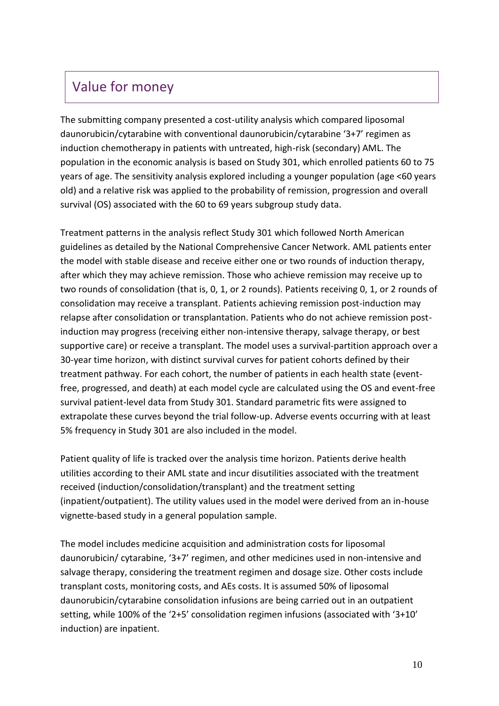### Value for money

The submitting company presented a cost-utility analysis which compared liposomal daunorubicin/cytarabine with conventional daunorubicin/cytarabine '3+7' regimen as induction chemotherapy in patients with untreated, high-risk (secondary) AML. The population in the economic analysis is based on Study 301, which enrolled patients 60 to 75 years of age. The sensitivity analysis explored including a younger population (age <60 years old) and a relative risk was applied to the probability of remission, progression and overall survival (OS) associated with the 60 to 69 years subgroup study data.

Treatment patterns in the analysis reflect Study 301 which followed North American guidelines as detailed by the National Comprehensive Cancer Network. AML patients enter the model with stable disease and receive either one or two rounds of induction therapy, after which they may achieve remission. Those who achieve remission may receive up to two rounds of consolidation (that is, 0, 1, or 2 rounds). Patients receiving 0, 1, or 2 rounds of consolidation may receive a transplant. Patients achieving remission post-induction may relapse after consolidation or transplantation. Patients who do not achieve remission postinduction may progress (receiving either non-intensive therapy, salvage therapy, or best supportive care) or receive a transplant. The model uses a survival-partition approach over a 30-year time horizon, with distinct survival curves for patient cohorts defined by their treatment pathway. For each cohort, the number of patients in each health state (eventfree, progressed, and death) at each model cycle are calculated using the OS and event-free survival patient-level data from Study 301. Standard parametric fits were assigned to extrapolate these curves beyond the trial follow-up. Adverse events occurring with at least 5% frequency in Study 301 are also included in the model.

Patient quality of life is tracked over the analysis time horizon. Patients derive health utilities according to their AML state and incur disutilities associated with the treatment received (induction/consolidation/transplant) and the treatment setting (inpatient/outpatient). The utility values used in the model were derived from an in-house vignette-based study in a general population sample.

The model includes medicine acquisition and administration costs for liposomal daunorubicin/ cytarabine, '3+7' regimen, and other medicines used in non-intensive and salvage therapy, considering the treatment regimen and dosage size. Other costs include transplant costs, monitoring costs, and AEs costs. It is assumed 50% of liposomal daunorubicin/cytarabine consolidation infusions are being carried out in an outpatient setting, while 100% of the '2+5' consolidation regimen infusions (associated with '3+10' induction) are inpatient.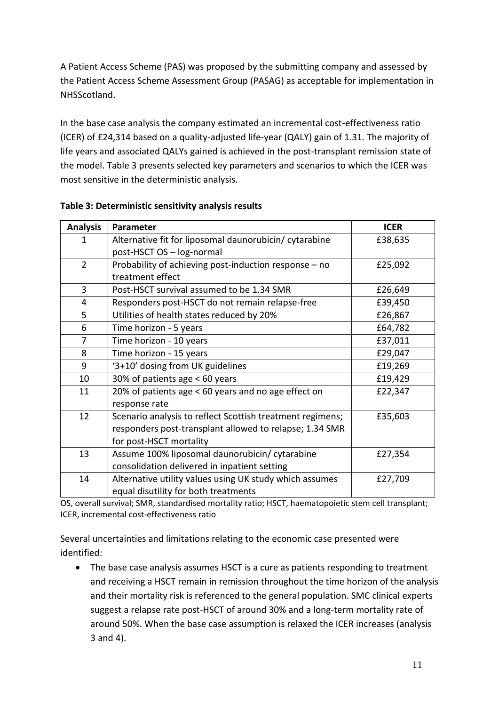A Patient Access Scheme (PAS) was proposed by the submitting company and assessed by the Patient Access Scheme Assessment Group (PASAG) as acceptable for implementation in NHSScotland.

In the base case analysis the company estimated an incremental cost-effectiveness ratio (ICER) of £24,314 based on a quality-adjusted life-year (QALY) gain of 1.31. The majority of life years and associated QALYs gained is achieved in the post-transplant remission state of the model. Table 3 presents selected key parameters and scenarios to which the ICER was most sensitive in the deterministic analysis.

| <b>Analysis</b> | Parameter                                                 | <b>ICER</b> |
|-----------------|-----------------------------------------------------------|-------------|
| 1               | Alternative fit for liposomal daunorubicin/ cytarabine    | £38,635     |
|                 | post-HSCT OS - log-normal                                 |             |
| $\overline{2}$  | Probability of achieving post-induction response - no     | £25,092     |
|                 | treatment effect                                          |             |
| 3               | Post-HSCT survival assumed to be 1.34 SMR                 | £26,649     |
| $\overline{4}$  | Responders post-HSCT do not remain relapse-free           | £39,450     |
| 5               | Utilities of health states reduced by 20%                 | £26,867     |
| 6               | Time horizon - 5 years                                    | £64,782     |
| 7               | Time horizon - 10 years                                   | £37,011     |
| 8               | Time horizon - 15 years                                   | £29,047     |
| 9               | '3+10' dosing from UK guidelines                          | £19,269     |
| 10              | 30% of patients age < 60 years                            | £19,429     |
| 11              | 20% of patients age < 60 years and no age effect on       | £22,347     |
|                 | response rate                                             |             |
| 12              | Scenario analysis to reflect Scottish treatment regimens; | £35,603     |
|                 | responders post-transplant allowed to relapse; 1.34 SMR   |             |
|                 | for post-HSCT mortality                                   |             |
| 13              | Assume 100% liposomal daunorubicin/ cytarabine            | £27,354     |
|                 | consolidation delivered in inpatient setting              |             |
| 14              | Alternative utility values using UK study which assumes   | £27,709     |
|                 | equal disutility for both treatments                      |             |

#### **Table 3: Deterministic sensitivity analysis results**

OS, overall survival; SMR, standardised mortality ratio; HSCT, haematopoietic stem cell transplant; ICER, incremental cost-effectiveness ratio

Several uncertainties and limitations relating to the economic case presented were identified:

 The base case analysis assumes HSCT is a cure as patients responding to treatment and receiving a HSCT remain in remission throughout the time horizon of the analysis and their mortality risk is referenced to the general population. SMC clinical experts suggest a relapse rate post-HSCT of around 30% and a long-term mortality rate of around 50%. When the base case assumption is relaxed the ICER increases (analysis 3 and 4).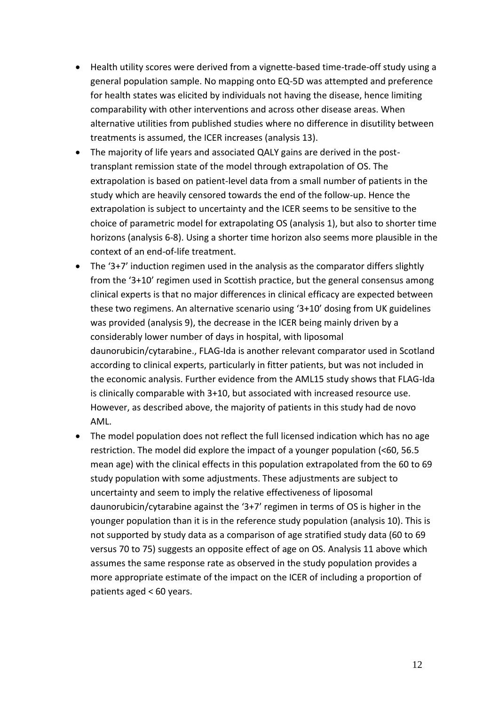- Health utility scores were derived from a vignette-based time-trade-off study using a general population sample. No mapping onto EQ-5D was attempted and preference for health states was elicited by individuals not having the disease, hence limiting comparability with other interventions and across other disease areas. When alternative utilities from published studies where no difference in disutility between treatments is assumed, the ICER increases (analysis 13).
- The majority of life years and associated QALY gains are derived in the posttransplant remission state of the model through extrapolation of OS. The extrapolation is based on patient-level data from a small number of patients in the study which are heavily censored towards the end of the follow-up. Hence the extrapolation is subject to uncertainty and the ICER seems to be sensitive to the choice of parametric model for extrapolating OS (analysis 1), but also to shorter time horizons (analysis 6-8). Using a shorter time horizon also seems more plausible in the context of an end-of-life treatment.
- The '3+7' induction regimen used in the analysis as the comparator differs slightly from the '3+10' regimen used in Scottish practice, but the general consensus among clinical experts is that no major differences in clinical efficacy are expected between these two regimens. An alternative scenario using '3+10' dosing from UK guidelines was provided (analysis 9), the decrease in the ICER being mainly driven by a considerably lower number of days in hospital, with liposomal daunorubicin/cytarabine., FLAG-Ida is another relevant comparator used in Scotland according to clinical experts, particularly in fitter patients, but was not included in the economic analysis. Further evidence from the AML15 study shows that FLAG-Ida is clinically comparable with 3+10, but associated with increased resource use. However, as described above, the majority of patients in this study had de novo AML.
- The model population does not reflect the full licensed indication which has no age restriction. The model did explore the impact of a younger population (<60, 56.5 mean age) with the clinical effects in this population extrapolated from the 60 to 69 study population with some adjustments. These adjustments are subject to uncertainty and seem to imply the relative effectiveness of liposomal daunorubicin/cytarabine against the '3+7' regimen in terms of OS is higher in the younger population than it is in the reference study population (analysis 10). This is not supported by study data as a comparison of age stratified study data (60 to 69 versus 70 to 75) suggests an opposite effect of age on OS. Analysis 11 above which assumes the same response rate as observed in the study population provides a more appropriate estimate of the impact on the ICER of including a proportion of patients aged < 60 years.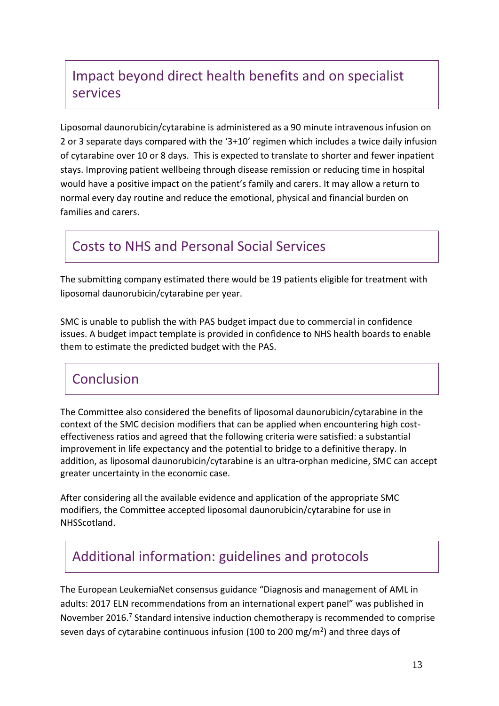# Impact beyond direct health benefits and on specialist services

Liposomal daunorubicin/cytarabine is administered as a 90 minute intravenous infusion on 2 or 3 separate days compared with the '3+10' regimen which includes a twice daily infusion of cytarabine over 10 or 8 days. This is expected to translate to shorter and fewer inpatient stays. Improving patient wellbeing through disease remission or reducing time in hospital would have a positive impact on the patient's family and carers. It may allow a return to normal every day routine and reduce the emotional, physical and financial burden on families and carers.

### Costs to NHS and Personal Social Services

The submitting company estimated there would be 19 patients eligible for treatment with liposomal daunorubicin/cytarabine per year.

SMC is unable to publish the with PAS budget impact due to commercial in confidence issues. A budget impact template is provided in confidence to NHS health boards to enable them to estimate the predicted budget with the PAS.

### Conclusion

The Committee also considered the benefits of liposomal daunorubicin/cytarabine in the context of the SMC decision modifiers that can be applied when encountering high costeffectiveness ratios and agreed that the following criteria were satisfied: a substantial improvement in life expectancy and the potential to bridge to a definitive therapy. In addition, as liposomal daunorubicin/cytarabine is an ultra-orphan medicine, SMC can accept greater uncertainty in the economic case.

After considering all the available evidence and application of the appropriate SMC modifiers, the Committee accepted liposomal daunorubicin/cytarabine for use in NHSScotland.

### Additional information: guidelines and protocols

The European LeukemiaNet consensus guidance "Diagnosis and management of AML in adults: 2017 ELN recommendations from an international expert panel" was published in November 2016.<sup>7</sup> Standard intensive induction chemotherapy is recommended to comprise seven days of cytarabine continuous infusion (100 to 200 mg/m<sup>2</sup>) and three days of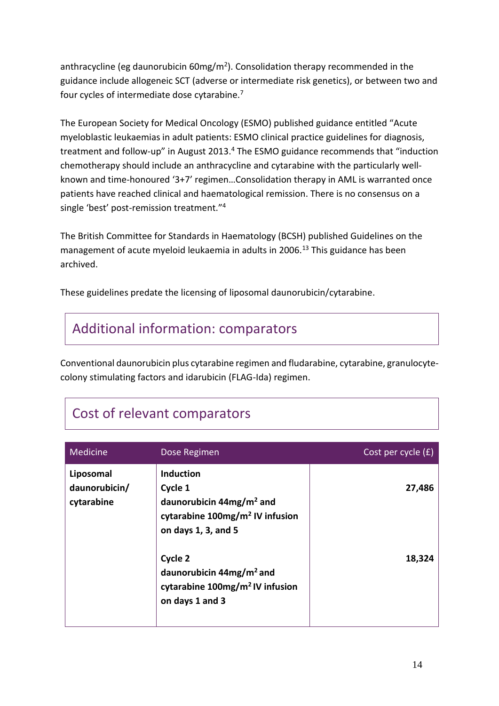anthracycline (eg daunorubicin 60mg/m<sup>2</sup>). Consolidation therapy recommended in the guidance include allogeneic SCT (adverse or intermediate risk genetics), or between two and four cycles of intermediate dose cytarabine.<sup>7</sup>

The European Society for Medical Oncology (ESMO) published guidance entitled "Acute myeloblastic leukaemias in adult patients: ESMO clinical practice guidelines for diagnosis, treatment and follow-up" in August 2013.<sup>4</sup> The ESMO guidance recommends that "induction chemotherapy should include an anthracycline and cytarabine with the particularly wellknown and time-honoured '3+7' regimen…Consolidation therapy in AML is warranted once patients have reached clinical and haematological remission. There is no consensus on a single 'best' post-remission treatment."<sup>4</sup>

The British Committee for Standards in Haematology (BCSH) published Guidelines on the management of acute myeloid leukaemia in adults in 2006.<sup>13</sup> This guidance has been archived.

These guidelines predate the licensing of liposomal daunorubicin/cytarabine.

# Additional information: comparators

Conventional daunorubicin plus cytarabine regimen and fludarabine, cytarabine, granulocytecolony stimulating factors and idarubicin (FLAG-Ida) regimen.

|  | Cost of relevant comparators |  |
|--|------------------------------|--|
|  |                              |  |

| Medicine                                 | Dose Regimen                                                                                                                    | Cost per cycle (£) |
|------------------------------------------|---------------------------------------------------------------------------------------------------------------------------------|--------------------|
| Liposomal<br>daunorubicin/<br>cytarabine | <b>Induction</b><br>Cycle 1<br>daunorubicin $44mg/m2$ and<br>cytarabine 100mg/m <sup>2</sup> IV infusion<br>on days 1, 3, and 5 | 27,486             |
|                                          | Cycle 2<br>daunorubicin $44mg/m2$ and<br>cytarabine 100mg/m <sup>2</sup> IV infusion<br>on days 1 and 3                         | 18,324             |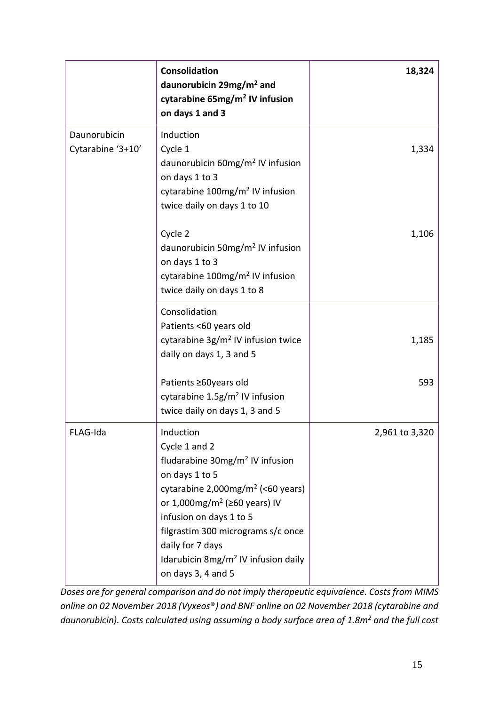|                                   | <b>Consolidation</b><br>daunorubicin 29mg/m <sup>2</sup> and<br>cytarabine 65mg/m <sup>2</sup> IV infusion<br>on days 1 and 3                                                                                                                                                                                                                                    | 18,324         |
|-----------------------------------|------------------------------------------------------------------------------------------------------------------------------------------------------------------------------------------------------------------------------------------------------------------------------------------------------------------------------------------------------------------|----------------|
| Daunorubicin<br>Cytarabine '3+10' | Induction<br>Cycle 1<br>daunorubicin 60mg/m <sup>2</sup> IV infusion<br>on days 1 to 3<br>cytarabine 100mg/m <sup>2</sup> IV infusion<br>twice daily on days 1 to 10                                                                                                                                                                                             | 1,334          |
|                                   | Cycle 2<br>daunorubicin 50mg/m <sup>2</sup> IV infusion<br>on days 1 to 3<br>cytarabine 100mg/m <sup>2</sup> IV infusion<br>twice daily on days 1 to 8                                                                                                                                                                                                           | 1,106          |
|                                   | Consolidation<br>Patients <60 years old<br>cytarabine 3g/m <sup>2</sup> IV infusion twice<br>daily on days 1, 3 and 5                                                                                                                                                                                                                                            | 1,185          |
|                                   | Patients ≥60years old<br>cytarabine 1.5g/m <sup>2</sup> IV infusion<br>twice daily on days 1, 3 and 5                                                                                                                                                                                                                                                            | 593            |
| FLAG-Ida                          | Induction<br>Cycle 1 and 2<br>fludarabine 30mg/m <sup>2</sup> IV infusion<br>on days 1 to 5<br>cytarabine $2,000$ mg/m <sup>2</sup> (<60 years)<br>or 1,000mg/m <sup>2</sup> ( $\geq$ 60 years) IV<br>infusion on days 1 to 5<br>filgrastim 300 micrograms s/c once<br>daily for 7 days<br>Idarubicin 8mg/m <sup>2</sup> IV infusion daily<br>on days 3, 4 and 5 | 2,961 to 3,320 |

*Doses are for general comparison and do not imply therapeutic equivalence. Costs from MIMS online on 02 November 2018 (Vyxeos*®*) and BNF online on 02 November 2018 (cytarabine and daunorubicin). Costs calculated using assuming a body surface area of 1.8m<sup>2</sup> and the full cost*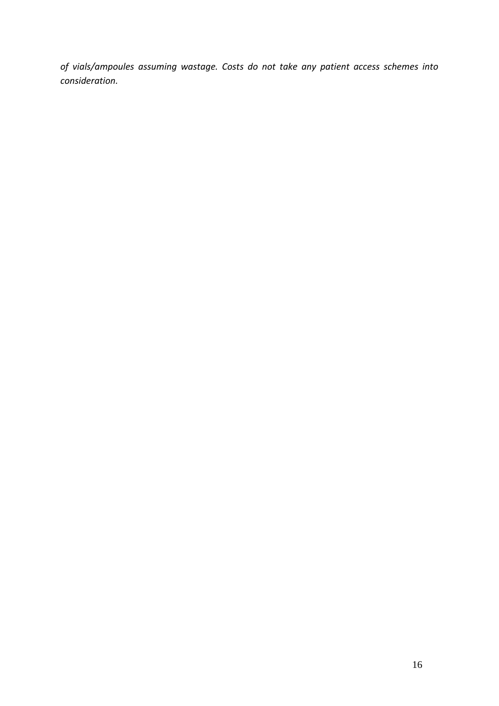*of vials/ampoules assuming wastage. Costs do not take any patient access schemes into consideration.*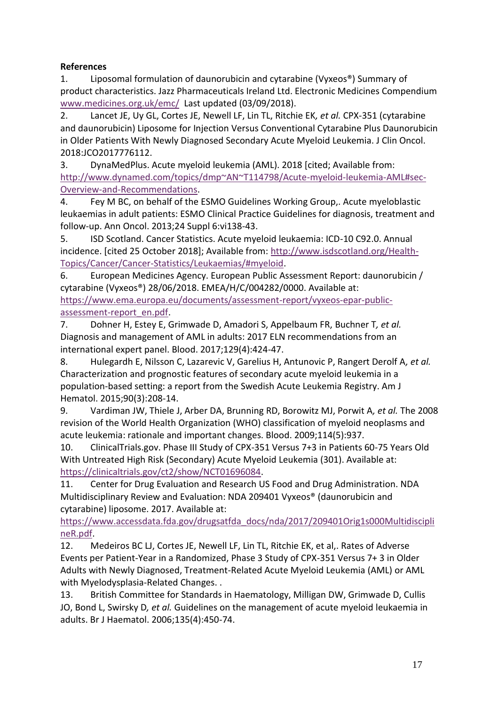#### **References**

1. Liposomal formulation of daunorubicin and cytarabine (Vyxeos®) Summary of product characteristics. Jazz Pharmaceuticals Ireland Ltd. Electronic Medicines Compendium [www.medicines.org.uk/emc/](file:///C:/Users/alanm/Desktop/www.medicines.org.uk/emc/) Last updated (03/09/2018).

2. Lancet JE, Uy GL, Cortes JE, Newell LF, Lin TL, Ritchie EK*, et al.* CPX-351 (cytarabine and daunorubicin) Liposome for Injection Versus Conventional Cytarabine Plus Daunorubicin in Older Patients With Newly Diagnosed Secondary Acute Myeloid Leukemia. J Clin Oncol. 2018:JCO2017776112.

3. DynaMedPlus. Acute myeloid leukemia (AML). 2018 [cited; Available from: [http://www.dynamed.com/topics/dmp~AN~T114798/Acute-myeloid-leukemia-AML#sec-](http://www.dynamed.com/topics/dmp~AN~T114798/Acute-myeloid-leukemia-AML#sec-Overview-and-Recommendations)[Overview-and-Recommendations.](http://www.dynamed.com/topics/dmp~AN~T114798/Acute-myeloid-leukemia-AML#sec-Overview-and-Recommendations)

4. Fey M BC, on behalf of the ESMO Guidelines Working Group,. Acute myeloblastic leukaemias in adult patients: ESMO Clinical Practice Guidelines for diagnosis, treatment and follow-up. Ann Oncol. 2013;24 Suppl 6:vi138-43.

5. ISD Scotland. Cancer Statistics. Acute myeloid leukaemia: ICD-10 C92.0. Annual incidence. [cited 25 October 2018]; Available from: [http://www.isdscotland.org/Health-](http://www.isdscotland.org/Health-Topics/Cancer/Cancer-Statistics/Leukaemias/#myeloid)[Topics/Cancer/Cancer-Statistics/Leukaemias/#myeloid.](http://www.isdscotland.org/Health-Topics/Cancer/Cancer-Statistics/Leukaemias/#myeloid)

6. European Medicines Agency. European Public Assessment Report: daunorubicin / cytarabine (Vyxeos®) 28/06/2018. EMEA/H/C/004282/0000. Available at: [https://www.ema.europa.eu/documents/assessment-report/vyxeos-epar-public](https://www.ema.europa.eu/documents/assessment-report/vyxeos-epar-public-assessment-report_en.pdf)[assessment-report\\_en.pdf.](https://www.ema.europa.eu/documents/assessment-report/vyxeos-epar-public-assessment-report_en.pdf)

7. Dohner H, Estey E, Grimwade D, Amadori S, Appelbaum FR, Buchner T*, et al.* Diagnosis and management of AML in adults: 2017 ELN recommendations from an international expert panel. Blood. 2017;129(4):424-47.

8. Hulegardh E, Nilsson C, Lazarevic V, Garelius H, Antunovic P, Rangert Derolf A*, et al.* Characterization and prognostic features of secondary acute myeloid leukemia in a population-based setting: a report from the Swedish Acute Leukemia Registry. Am J Hematol. 2015;90(3):208-14.

9. Vardiman JW, Thiele J, Arber DA, Brunning RD, Borowitz MJ, Porwit A*, et al.* The 2008 revision of the World Health Organization (WHO) classification of myeloid neoplasms and acute leukemia: rationale and important changes. Blood. 2009;114(5):937.

10. ClinicalTrials.gov. Phase III Study of CPX-351 Versus 7+3 in Patients 60-75 Years Old With Untreated High Risk (Secondary) Acute Myeloid Leukemia (301). Available at: [https://clinicaltrials.gov/ct2/show/NCT01696084.](https://clinicaltrials.gov/ct2/show/NCT01696084)

11. Center for Drug Evaluation and Research US Food and Drug Administration. NDA Multidisciplinary Review and Evaluation: NDA 209401 Vyxeos® (daunorubicin and cytarabine) liposome. 2017. Available at:

[https://www.accessdata.fda.gov/drugsatfda\\_docs/nda/2017/209401Orig1s000Multidiscipli](https://www.accessdata.fda.gov/drugsatfda_docs/nda/2017/209401Orig1s000MultidisciplineR.pdf) [neR.pdf.](https://www.accessdata.fda.gov/drugsatfda_docs/nda/2017/209401Orig1s000MultidisciplineR.pdf)

12. Medeiros BC LJ, Cortes JE, Newell LF, Lin TL, Ritchie EK, et al,. Rates of Adverse Events per Patient-Year in a Randomized, Phase 3 Study of CPX-351 Versus 7+ 3 in Older Adults with Newly Diagnosed, Treatment-Related Acute Myeloid Leukemia (AML) or AML with Myelodysplasia-Related Changes. .

13. British Committee for Standards in Haematology, Milligan DW, Grimwade D, Cullis JO, Bond L, Swirsky D*, et al.* Guidelines on the management of acute myeloid leukaemia in adults. Br J Haematol. 2006;135(4):450-74.